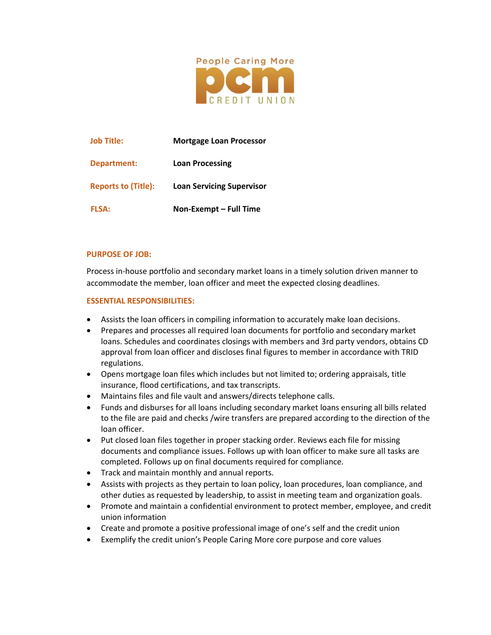

| <b>Job Title:</b>          | <b>Mortgage Loan Processor</b>   |
|----------------------------|----------------------------------|
| Department:                | <b>Loan Processing</b>           |
| <b>Reports to (Title):</b> | <b>Loan Servicing Supervisor</b> |
| <b>FLSA:</b>               | Non-Exempt - Full Time           |

### **PURPOSE OF JOB:**

Process in-house portfolio and secondary market loans in a timely solution driven manner to accommodate the member, loan officer and meet the expected closing deadlines.

### **ESSENTIAL RESPONSIBILITIES:**

- Assists the loan officers in compiling information to accurately make loan decisions.
- Prepares and processes all required loan documents for portfolio and secondary market loans. Schedules and coordinates closings with members and 3rd party vendors, obtains CD approval from loan officer and discloses final figures to member in accordance with TRID regulations.
- Opens mortgage loan files which includes but not limited to; ordering appraisals, title insurance, flood certifications, and tax transcripts.
- Maintains files and file vault and answers/directs telephone calls.
- Funds and disburses for all loans including secondary market loans ensuring all bills related to the file are paid and checks /wire transfers are prepared according to the direction of the loan officer.
- Put closed loan files together in proper stacking order. Reviews each file for missing documents and compliance issues. Follows up with loan officer to make sure all tasks are completed. Follows up on final documents required for compliance.
- Track and maintain monthly and annual reports.
- Assists with projects as they pertain to loan policy, loan procedures, loan compliance, and other duties as requested by leadership, to assist in meeting team and organization goals.
- Promote and maintain a confidential environment to protect member, employee, and credit union information
- Create and promote a positive professional image of one's self and the credit union
- Exemplify the credit union's People Caring More core purpose and core values